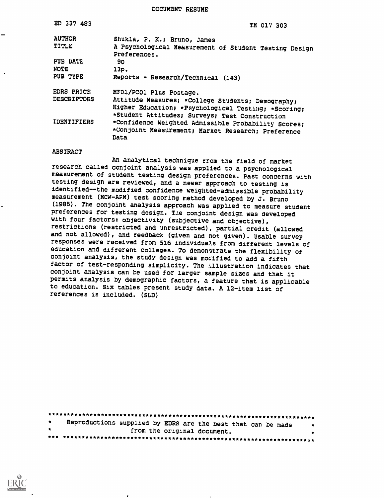DOCUMENT RESUME

| ED 337 483         | TM 017 303                                                                                                        |
|--------------------|-------------------------------------------------------------------------------------------------------------------|
| <b>AUTHOR</b>      | Shukla, P. K.; Bruno, James                                                                                       |
| TITLE              | A Psychological Measurement of Student Testing Design                                                             |
|                    | Preferences.                                                                                                      |
| PUB DATE           | 90                                                                                                                |
| <b>NOTE</b>        | 13p.                                                                                                              |
| PUB TYPE           | Reports - Research/Technical (143)                                                                                |
| <b>EDRS PRICE</b>  | MFO1/PCO1 Plus Postage.                                                                                           |
| <b>DESCRIPTORS</b> | Attitude Measures; *College Students; Demography;                                                                 |
|                    | Higher Education; *Psychological Testing; *Scoring;                                                               |
|                    | *Student Attitudes; Surveys; Test Construction                                                                    |
| <b>IDENTIFIERS</b> | *Confidence Weighted Admissible Probability Scores;<br>*Conjoint Measurement; Market Research; Preference<br>Data |

#### **ABSTRACT**

An analytical technique from the field of market research called conjoint analysis was applied to a psychological measurement of student testing design preferences. Past concerns with testing design are reviewed, and a newer approach to testing is identified--the modified confidence weighted-admissible probability measurement (MCW-AFM) test scoring method developed by J. Bruno (1985). The conjoint analysis approach was applied to measure student preferences for testing design. The conjoint design was developed with four factors: objectivity (subjective and objective), restrictions (restricted and unrestricted), partial credit (allowed and not allowed), and feedback (given and not given). Usable survey responses were received from 516 individuals from different levels of education and different colleges. To demonstrate the flexibility of conjoint analysis, the study design was mocified to add a fifth factor of test-responding simplicity. The illustration indicates that conjoint analysis can be used for larger sample sizes and that it permits analysis by demographic factors, a feature that is applicable to education. Six tables present study data. A 12-item list of references is included. (SLD)

| $\bullet$    | Reproductions supplied by EDRS are the best that can be made | $\bullet$ |
|--------------|--------------------------------------------------------------|-----------|
| $\mathbf{r}$ | from the original document.                                  | $\bullet$ |
|              |                                                              |           |

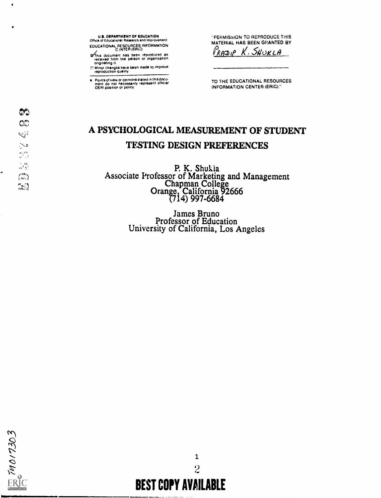This document has been reproduced as<br>received from the person or organization<br>originating it

The Minor changes have been made to improve

Points of view or opinions stated in this document do not necessarily represent official.<br>OERI position or policy

"PERMISSION TO REPRODUCE THIS MATERIAL HAS BEEN GEANTED BY

RADIP K. SHUKLA

TO THE EDUCATIONAL RESOURCES **INFORMATION CENTER (ERIC)."** 

# A PSYCHOLOGICAL MEASUREMENT OF STUDENT **TESTING DESIGN PREFERENCES**

P. K. Shukia<br>Associate Professor of Marketing and Management<br>Chapman College<br>Orange, California 92666<br>(714) 997-6684

James Bruno<br>Professor of Education<br>University of California, Los Angeles

 $\mathbf{1}$  $\ddot{2}$ **BEST COPY AVAILABLE** 

4

 $\frac{74017303}{2}$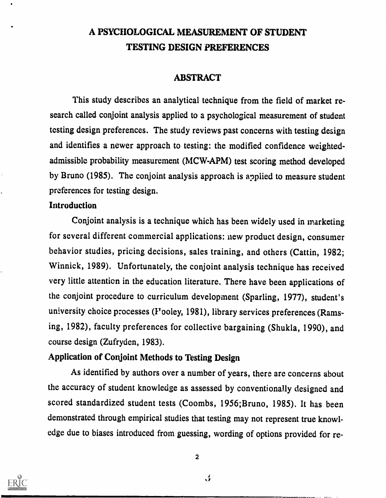# A PSYCHOLOGICAL MEASUREMENT OF STUDENT TESTING DESIGN PREFERENCES

#### ABSTRACT

This study describes an analytical technique from the field of market research called conjoint analysis applied to a psychological measurement of student testing design preferences. The study reviews past concerns with testing design and identifies a newer approach to testing: the modified confidence weightedadmissible probability measurement (MCW-APM) test scoring method developed by Bruno (1985). The conjoint analysis approach is applied to measure student preferences for testing design.

#### Introduction

Conjoint analysis is a technique which has been widely used in marketing for several different commercial applications: new product design, consumer behavior studies, pricing decisions, sales training, and others (Cattin, 1982; Winnick, 1989). Unfortunately, the conjoint analysis technique has received very little attention in the education literature. There have been applications of the conjoint procedure to curriculum development (Sparling, 1977), student's university choice processes (Fooley, 1981), library services preferences (Ramsing, 1982), faculty preferences for collective bargaining (Shukla, 1990), and course design (Zufryden, 1983).

#### Application of Conjoint Methods to Testing Design

As identified by authors over a number of years, there are concerns about the accuracy of student knowledge as assessed by conventionally designed and scored standardized student tests (Coombs, 1956;Bruno, 1985). It has been demonstrated through empirical studies that testing may not represent true knowledge due to biases introduced from guessing, wording of options provided for re-

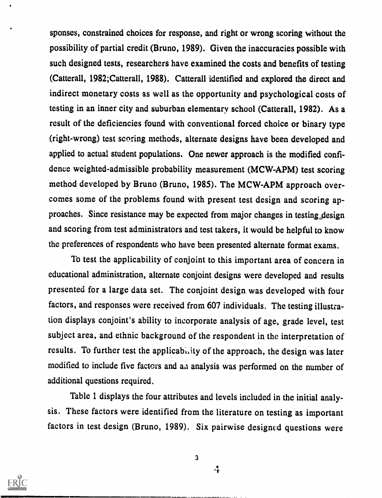sponses, constrained choices for response, and right or wrong scoring without the possibility of partial credit (Bruno, 1989). Given the inaccuracies possible with such designed tests, researchers have examined the costs and benefits of testing (Catterall, 1982;Catterall, 1988). Catterall identified and explored the direct and indirect monetary costs as well as the opportunity and psychological costs of testing in an inner city and suburban elementary school (Catterall, 1982). As a result of the deficiencies found with conventional forced choice or binary type (right-wrong) test scoring methods, alternate designs have been developed and applied to actual student populations. One newer approach is the modified confidence weighted-admissible probability measurement (MCW-APM) test scoring method developed by Bruno (Bruno, 1985). The MCW-APM approach overcomes some of the problems found with present test design and scoring approaches. Since resistance may be expected from major changes in testing design and scoring from test administrators and test takers, it would be helpful to know the preferences of respondents who have been presented alternate format exams.

To test the applicability of conjoint to this important area of concern in educational administration, alternate conjoint designs were developed and results presented for a large data set. The conjoint design was developed with four factors, and responses were received from 607 individuals. The testing illustration displays conjoint's ability to incorporate analysis of age, grade level, test subject area, and ethnic background of the respondent in the interpretation of results. To further test the applicabi, ity of the approach, the design was later modified to include five factors and aa analysis was performed on the number of additional questions required.

Table 1 displays the four attributes and levels included in the initial analysis. These factors were identified from the literature on testing as important factors in test design (Bruno, 1989). Six pairwise designed questions were



3

 $\frac{1}{2}$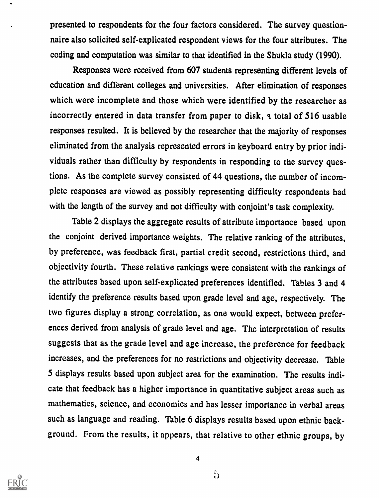presented to respondents for the four factors considered. The survey questionnaire also solicited self-explicated respondent views for the four attributes. The coding and computation was similar to that identified in the Shukla study (1990).

Responses were received from 607 students representing different levels of education and different colleges and universities. After elimination of responses which were incomplete and those which were identified by the researcher as incorrectly entered in data transfer from paper to disk, a total of 516 usable responses resulted. It is believed by the researcher that the majority of responses eliminated from the analysis represented errors in keyboard entry by prior individuals rather than difficulty by respondents in responding to the survey questions. As the complete survey consisted of 44 questions, the number of incomplete responses are viewed as possibly representing difficulty respondents had with the length of the survey and not difficulty with conjoint's task complexity.

Table 2 displays the aggregate results of attribute importance based upon the conjoint derived importance weights. The relative ranking of the attributes, by preference, was feedback first, partial credit second, restrictions third, and objectivity fourth. These relative rankings were consistent with the rankings of the attributes based upon self-explicated preferences identified. Tables 3 and 4 identify the preference results based upon grade level and age, respectively. The two figures display a strong correlation, as one would expect, between preferences derived from analysis of grade level and age. The interpretation of results suggests that as the grade level and age increase, the preference for feedback increases, and the preferences for no restrictions and objectivity decrease. Table 5 displays results based upon subject area for the examination. The results indicate that feedback has a higher importance in quantitative subject areas such as mathematics, science, and economics and has lesser importance in verbal areas such as language and reading. Table 6 displays results based upon ethnic background. From the results, it appears, that relative to other ethnic groups, by



4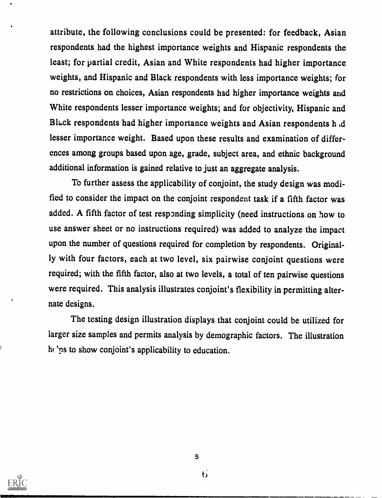attribute, the following conclusions could be presented: for feedback, Asian respondents had the highest importance weights and Hispanic respondents the least; for partial credit, Asian and White respondents had higher importance weights, and Hispanic and Black respondents with less importance weights; for no restrictions on choices, Asian respondents had higher importance weights and White respondents lesser importance weights; and for objectivity, Hispanic and Black respondents had higher importance weights and Asian respondents h d lesser importance weight. Based upon these results and examination of differences among groups based upon age, grade, subject area, and ethnic background additional information is gained relative to just an aggregate analysis.

To further assess the applicability of conjoint, the study design was modified to consider the impact on the conjoint respondent task if a fifth factor was added. A fifth factor of test responding simplicity (need instructions on how to use answer sheet or no instructions required) was added to analyze the impact upon the number of questions required for completion by respondents. Originally with four factors, each at two level, six pairwise conjoint questions were required; with the fifth factor, also at two levels, a total of ten pairwise questions were required. This analysis illustrates conjoint's flexibility in permitting alternate designs.

The testing design illustration displays that conjoint could be utilized for larger size samples and permits analysis by demographic factors. The illustration he 'ps to show conjoint's applicability to education.



6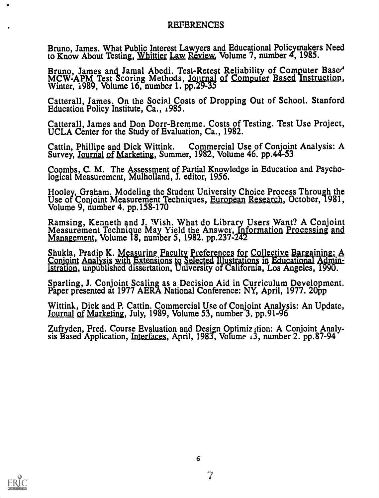#### REFERENCES

Bruno, James. What Public Interest Lawyers and Educational Policymakers Need to Know About Testing, Whittier Law Review, Volume 7, number 4, 1985.

Bruno, James and Jamal Abedi. Test-Retest Reliability of Computer Base<sup>d</sup> MCW-APM Test Scoring Methods, <u>Journal of Computer Based Instruction</u>, Winter, 1989, Volume 16, number 1. pp.29-35

Catterall, James. On the Social Costs of Dropping Out of School. Stanford Education Policy Institute, Ca., 1985.

Catterall, James and Don Dorr-Bremme. Costs of Testing. Test Use Project, UCLA Center for the Study of Evaluation, Ca., 1982.

Cattin, Phillipe and Dick Wittink. Commercial Use of Conjoint Analysis: A Survey, Journal of Marketing, Summer, 1982, Volume 46. pp.44-53

Coombs, C. M. The Assessment of Partial Knowledge in Education and Psychological Measurement, Mulholland, J. editor, 1956.

Hooley, Graham. Modeling the Student University Choice Process Through the Use of Conjoint Measurement Techniques, European Research, October, 1981, Volume 9, number 4. pp.158-170

Ramsing, Kenneth and J. Wish. What do Library Users Want? A Conjoint Measurement Technique May Yield the Answei, Information Processing and Management, Volume 18, number 5, 1982. pp.237-242

Shukla, Pradip K. Measuring Faculty Preferences for Collective Bargaining: A Shukla, Pradip K. Measuring Faculty Preferences for Collective Bargaining: A<br>Conjoint Analysis with Extensions to Selected Illustrations in Educational Administration, unpublished dissertation, University of California, Los Angeles, 1990.

Sparling, J. Conjoint Scaling as a Decision Aid in Curriculum Development. Paper presented at 1977 AERA National Conference: NY, April, 1977. 2Opp

Wittink, Dick and P. Cattin. Commercial Use of Conjoint Analysis: An Update, Journal of Marketing, July, 1989, Volume 53, number 3. pp.91-96

Zufryden, Fred. Course Evaluation and Design Optimization: A Conjoint Analysis Based Application, Interfaces, April, 1983, Volume 13, number 2. pp.87-94

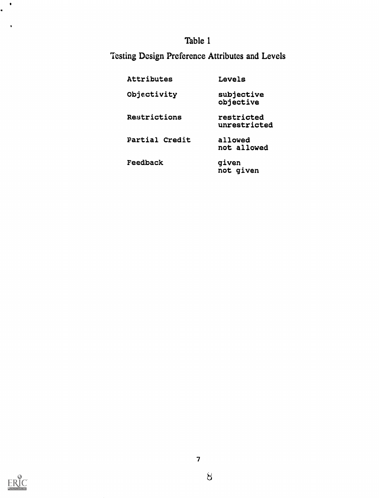# Testing Design Preference Attributes and Levels

| Attributes     | Levels                     |
|----------------|----------------------------|
| Objectivity    | subjective<br>objective    |
| Restrictions   | restricted<br>unrestricted |
| Partial Credit | allowed<br>not allowed     |
| Feedback       | given<br>not given         |



 $\langle \bullet \rangle$ a.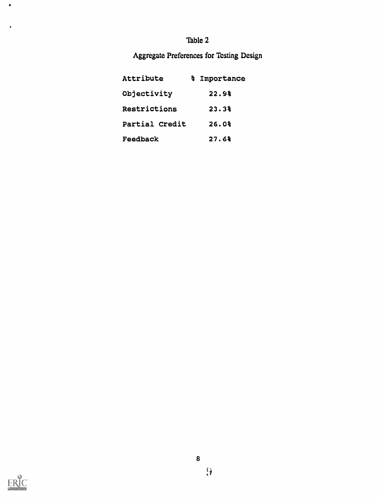#### Aggregate Preferences for Testing Design

| Attribute      | % Importance |  |
|----------------|--------------|--|
| Objectivity    | 22.98        |  |
| Restrictions   | 23.3%        |  |
| Partial Credit | 26.0%        |  |
| Feedback       | 27.6%        |  |



 $\bullet$ 

 $\ddot{\phantom{0}}$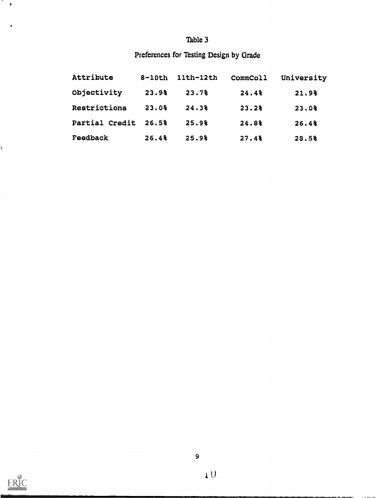## Preferences for Testing Design by Grade

| Attribute      | $8-10th$ | 11th-12th | CommColl | University |  |
|----------------|----------|-----------|----------|------------|--|
| Objectivity    | 23.9%    | 23.7%     | 24.4%    | 21.9%      |  |
| Restrictions   | 23.0%    | 24.3%     | 23.2%    | 23.0%      |  |
| Partial Credit | 26.5%    | 25.9%     | 24.8%    | 26.4%      |  |
| Feedback       | 26.48    | 25.9%     | 27.4%    | 28.5%      |  |



7.  $\bullet$ 

î,

 $\ddot{\phantom{a}}$ 

U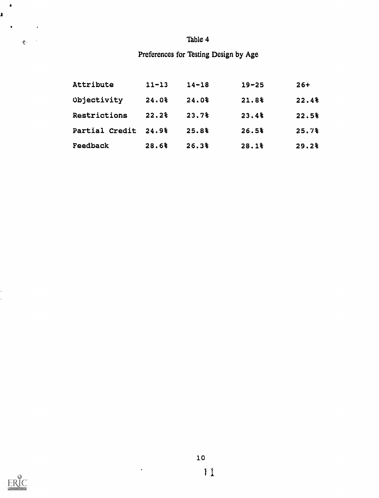#### Preferences for Testing Design by Age

| Attribute      | $11 - 13$ | $14 - 18$ | $19 - 25$         | $26+$ |
|----------------|-----------|-----------|-------------------|-------|
| Objectivity    | 24.0%     | 24.0%     | 21.8 <sup>2</sup> | 22.4% |
| Restrictions   | 22.28     | 23.7%     | 23.4%             | 22.5% |
| Partial Credit | 24.9%     | 25.8%     | 26.5%             | 25.7% |
| Feedback       | 28.6%     | 26.3%     | 28.1%             | 29.2% |



ł, Ŷ,  $\bullet$ 

 $\bullet$ 

 $\ddot{\phantom{0}}$ 

 $\mathfrak{F}^{1, \mathbb{R}^n}$ 

ı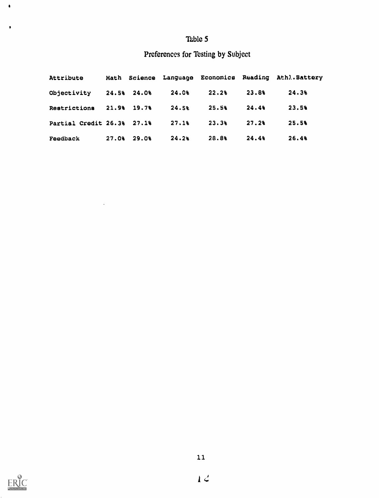### Preferences for Testing by Subject

| Attribute                  |               |       |       |       | Math Science Language Economics Reading Athl. Battery |  |
|----------------------------|---------------|-------|-------|-------|-------------------------------------------------------|--|
| Objectivity                | $24.58$ 24.08 | 24.0% | 22.28 | 23.8% | 24.38                                                 |  |
| Restrictions               | $21.98$ 19.7% | 24.58 | 25.58 | 24.49 | 23.5%                                                 |  |
| Partial Credit 26.3% 27.1% |               | 27.18 | 23.3% | 27.28 | 25.5%                                                 |  |
| Feedback                   | $27.08$ 29.08 | 24.2% | 28.88 | 24.4% | 26.48                                                 |  |



 $\bullet$